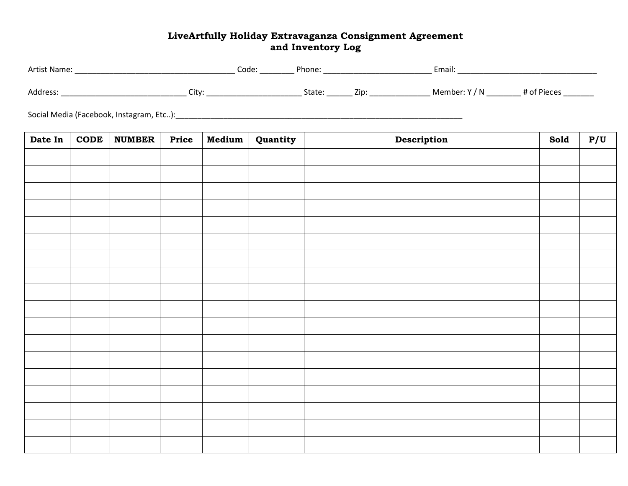## **LiveArtfully Holiday Extravaganza Consignment Agreement and Inventory Log**

| Date In | <b>CODE</b> | <b>NUMBER</b> | Price | Medium | Quantity | Description | Sold | P/U |  |  |
|---------|-------------|---------------|-------|--------|----------|-------------|------|-----|--|--|
|         |             |               |       |        |          |             |      |     |  |  |
|         |             |               |       |        |          |             |      |     |  |  |
|         |             |               |       |        |          |             |      |     |  |  |
|         |             |               |       |        |          |             |      |     |  |  |
|         |             |               |       |        |          |             |      |     |  |  |
|         |             |               |       |        |          |             |      |     |  |  |
|         |             |               |       |        |          |             |      |     |  |  |
|         |             |               |       |        |          |             |      |     |  |  |
|         |             |               |       |        |          |             |      |     |  |  |
|         |             |               |       |        |          |             |      |     |  |  |
|         |             |               |       |        |          |             |      |     |  |  |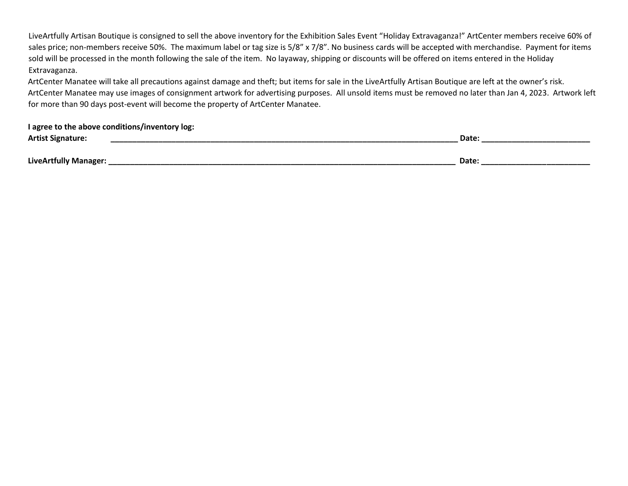LiveArtfully Artisan Boutique is consigned to sell the above inventory for the Exhibition Sales Event "Holiday Extravaganza!" ArtCenter members receive 60% of sales price; non-members receive 50%. The maximum label or tag size is 5/8" x 7/8". No business cards will be accepted with merchandise. Payment for items sold will be processed in the month following the sale of the item. No layaway, shipping or discounts will be offered on items entered in the Holiday Extravaganza.

ArtCenter Manatee will take all precautions against damage and theft; but items for sale in the LiveArtfully Artisan Boutique are left at the owner's risk. ArtCenter Manatee may use images of consignment artwork for advertising purposes. All unsold items must be removed no later than Jan 4, 2023. Artwork left for more than 90 days post-event will become the property of ArtCenter Manatee.

| I agree to the above conditions/inventory log: |       |  |  |  |  |  |  |
|------------------------------------------------|-------|--|--|--|--|--|--|
| <b>Artist Signature:</b>                       | Date: |  |  |  |  |  |  |
|                                                |       |  |  |  |  |  |  |
| LiveArtfully Manager:                          | Date: |  |  |  |  |  |  |